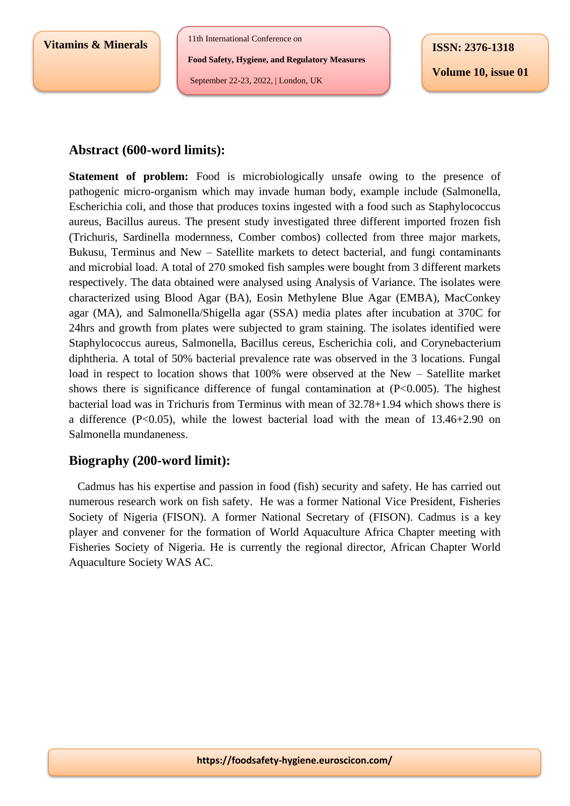**Vitamins & Minerals**

11th International Conference on

**Food Safety, Hygiene, and Regulatory Measures**

September 22-23, 2022, | London, UK

**Volume 10, issue 01**

## **Abstract (600-word limits):**

**Statement of problem:** Food is microbiologically unsafe owing to the presence of pathogenic micro-organism which may invade human body, example include (Salmonella, Escherichia coli, and those that produces toxins ingested with a food such as Staphylococcus aureus, Bacillus aureus. The present study investigated three different imported frozen fish (Trichuris, Sardinella modernness, Comber combos) collected from three major markets, Bukusu, Terminus and New – Satellite markets to detect bacterial, and fungi contaminants and microbial load. A total of 270 smoked fish samples were bought from 3 different markets respectively. The data obtained were analysed using Analysis of Variance. The isolates were characterized using Blood Agar (BA), Eosin Methylene Blue Agar (EMBA), MacConkey agar (MA), and Salmonella/Shigella agar (SSA) media plates after incubation at 370C for 24hrs and growth from plates were subjected to gram staining. The isolates identified were Staphylococcus aureus, Salmonella, Bacillus cereus, Escherichia coli, and Corynebacterium diphtheria. A total of 50% bacterial prevalence rate was observed in the 3 locations. Fungal load in respect to location shows that 100% were observed at the New – Satellite market shows there is significance difference of fungal contamination at  $(P<0.005)$ . The highest bacterial load was in Trichuris from Terminus with mean of 32.78+1.94 which shows there is a difference  $(P<0.05)$ , while the lowest bacterial load with the mean of 13.46+2.90 on Salmonella mundaneness.

## **Biography (200-word limit):**

 Cadmus has his expertise and passion in food (fish) security and safety. He has carried out numerous research work on fish safety. He was a former National Vice President, Fisheries Society of Nigeria (FISON). A former National Secretary of (FISON). Cadmus is a key player and convener for the formation of World Aquaculture Africa Chapter meeting with Fisheries Society of Nigeria. He is currently the regional director, African Chapter World Aquaculture Society WAS AC.